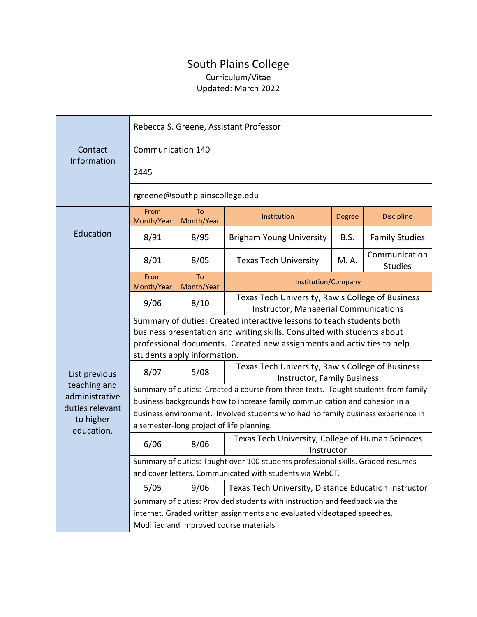## South Plains College Curriculum/Vitae Updated: March 2022

| Contact<br>Information                                                                        | Rebecca S. Greene, Assistant Professor                                                                                                                                                                                                                    |                  |                                                                                           |               |                                 |  |
|-----------------------------------------------------------------------------------------------|-----------------------------------------------------------------------------------------------------------------------------------------------------------------------------------------------------------------------------------------------------------|------------------|-------------------------------------------------------------------------------------------|---------------|---------------------------------|--|
|                                                                                               | Communication 140                                                                                                                                                                                                                                         |                  |                                                                                           |               |                                 |  |
|                                                                                               | 2445                                                                                                                                                                                                                                                      |                  |                                                                                           |               |                                 |  |
|                                                                                               | rgreene@southplainscollege.edu                                                                                                                                                                                                                            |                  |                                                                                           |               |                                 |  |
| Education                                                                                     | From<br>Month/Year                                                                                                                                                                                                                                        | To<br>Month/Year | Institution                                                                               | <b>Degree</b> | <b>Discipline</b>               |  |
|                                                                                               | 8/91                                                                                                                                                                                                                                                      | 8/95             | <b>Brigham Young University</b>                                                           | B.S.          | <b>Family Studies</b>           |  |
|                                                                                               | 8/01                                                                                                                                                                                                                                                      | 8/05             | <b>Texas Tech University</b>                                                              | M. A.         | Communication<br><b>Studies</b> |  |
| List previous<br>teaching and<br>administrative<br>duties relevant<br>to higher<br>education. | From<br>Month/Year                                                                                                                                                                                                                                        | To<br>Month/Year | Institution/Company                                                                       |               |                                 |  |
|                                                                                               | 9/06                                                                                                                                                                                                                                                      | 8/10             | Texas Tech University, Rawls College of Business<br>Instructor, Managerial Communications |               |                                 |  |
|                                                                                               | Summary of duties: Created interactive lessons to teach students both<br>business presentation and writing skills. Consulted with students about<br>professional documents. Created new assignments and activities to help<br>students apply information. |                  |                                                                                           |               |                                 |  |
|                                                                                               | 8/07                                                                                                                                                                                                                                                      | 5/08             | Texas Tech University, Rawls College of Business<br><b>Instructor, Family Business</b>    |               |                                 |  |
|                                                                                               | Summary of duties: Created a course from three texts. Taught students from family                                                                                                                                                                         |                  |                                                                                           |               |                                 |  |
|                                                                                               | business backgrounds how to increase family communication and cohesion in a                                                                                                                                                                               |                  |                                                                                           |               |                                 |  |
|                                                                                               | business environment. Involved students who had no family business experience in                                                                                                                                                                          |                  |                                                                                           |               |                                 |  |
|                                                                                               | a semester-long project of life planning.                                                                                                                                                                                                                 |                  |                                                                                           |               |                                 |  |
|                                                                                               | 6/06                                                                                                                                                                                                                                                      | 8/06             | Texas Tech University, College of Human Sciences<br>Instructor                            |               |                                 |  |
|                                                                                               | Summary of duties: Taught over 100 students professional skills. Graded resumes                                                                                                                                                                           |                  |                                                                                           |               |                                 |  |
|                                                                                               | and cover letters. Communicated with students via WebCT.                                                                                                                                                                                                  |                  |                                                                                           |               |                                 |  |
|                                                                                               | 5/05                                                                                                                                                                                                                                                      | 9/06             | Texas Tech University, Distance Education Instructor                                      |               |                                 |  |
|                                                                                               | Summary of duties: Provided students with instruction and feedback via the                                                                                                                                                                                |                  |                                                                                           |               |                                 |  |
|                                                                                               | internet. Graded written assignments and evaluated videotaped speeches.                                                                                                                                                                                   |                  |                                                                                           |               |                                 |  |
|                                                                                               | Modified and improved course materials.                                                                                                                                                                                                                   |                  |                                                                                           |               |                                 |  |